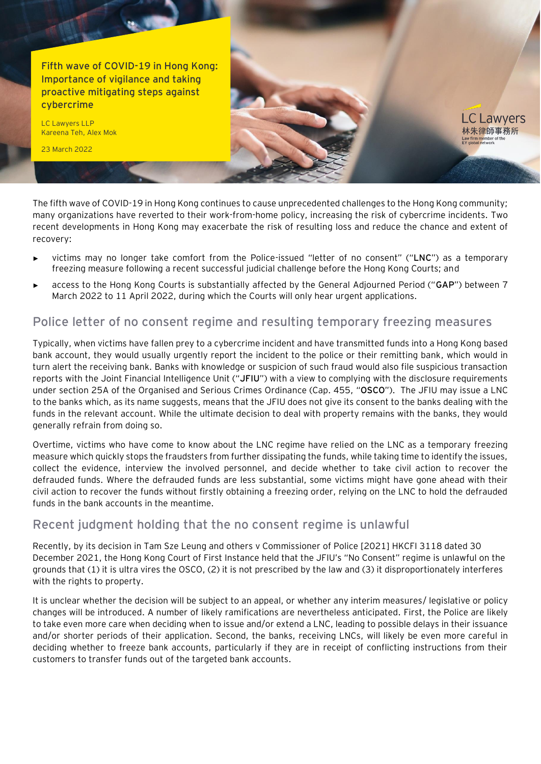**Fifth wave of COVID-19 in Hong Kong: Importance of vigilance and taking proactive mitigating steps against cybercrime**

LC Lawyers LLP Kareena Teh, Alex Mok

23 March 2022

The fifth wave of COVID-19 in Hong Kong continues to cause unprecedented challenges to the Hong Kong community; many organizations have reverted to their work-from-home policy, increasing the risk of cybercrime incidents. Two recent developments in Hong Kong may exacerbate the risk of resulting loss and reduce the chance and extent of recovery:

**LC Lawvers** 林朱律師事務所 Law fir<mark>m me</mark>mber of th<br>EY global network

- victims may no longer take comfort from the Police-issued "letter of no consent" ("LNC") as a temporary freezing measure following a recent successful judicial challenge before the Hong Kong Courts; and
- ► access to the Hong Kong Courts is substantially affected by the General Adjourned Period ("**GAP**") between 7 March 2022 to 11 April 2022, during which the Courts will only hear urgent applications.

### **Police letter of no consent regime and resulting temporary freezing measures**

Typically, when victims have fallen prey to a cybercrime incident and have transmitted funds into a Hong Kong based bank account, they would usually urgently report the incident to the police or their remitting bank, which would in turn alert the receiving bank. Banks with knowledge or suspicion of such fraud would also file suspicious transaction reports with the Joint Financial Intelligence Unit ("**JFIU**") with a view to complying with the disclosure requirements under section 25A of the Organised and Serious Crimes Ordinance (Cap. 455, "**OSCO**"). The JFIU may issue a LNC to the banks which, as its name suggests, means that the JFIU does not give its consent to the banks dealing with the funds in the relevant account. While the ultimate decision to deal with property remains with the banks, they would generally refrain from doing so.

Overtime, victims who have come to know about the LNC regime have relied on the LNC as a temporary freezing measure which quickly stops the fraudsters from further dissipating the funds, while taking time to identify the issues, collect the evidence, interview the involved personnel, and decide whether to take civil action to recover the defrauded funds. Where the defrauded funds are less substantial, some victims might have gone ahead with their civil action to recover the funds without firstly obtaining a freezing order, relying on the LNC to hold the defrauded funds in the bank accounts in the meantime.

#### **Recent judgment holding that the no consent regime is unlawful**

Recently, by its decision in Tam Sze Leung and others v Commissioner of Police [2021] HKCFI 3118 dated 30 December 2021, the Hong Kong Court of First Instance held that the JFIU's "No Consent" regime is unlawful on the grounds that (1) it is ultra vires the OSCO, (2) it is not prescribed by the law and (3) it disproportionately interferes with the rights to property.

It is unclear whether the decision will be subject to an appeal, or whether any interim measures/ legislative or policy changes will be introduced. A number of likely ramifications are nevertheless anticipated. First, the Police are likely to take even more care when deciding when to issue and/or extend a LNC, leading to possible delays in their issuance and/or shorter periods of their application. Second, the banks, receiving LNCs, will likely be even more careful in deciding whether to freeze bank accounts, particularly if they are in receipt of conflicting instructions from their customers to transfer funds out of the targeted bank accounts.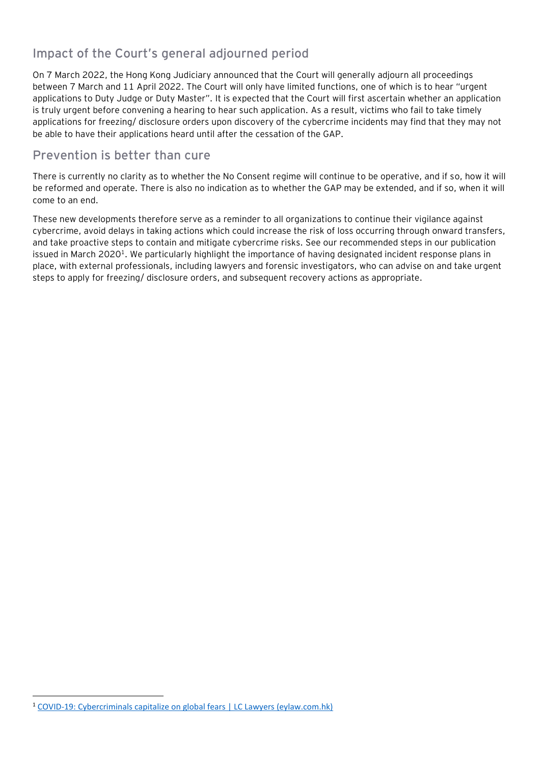## **Impact of the Court's general adjourned period**

On 7 March 2022, the Hong Kong Judiciary announced that the Court will generally adjourn all proceedings between 7 March and 11 April 2022. The Court will only have limited functions, one of which is to hear "urgent applications to Duty Judge or Duty Master". It is expected that the Court will first ascertain whether an application is truly urgent before convening a hearing to hear such application. As a result, victims who fail to take timely applications for freezing/ disclosure orders upon discovery of the cybercrime incidents may find that they may not be able to have their applications heard until after the cessation of the GAP.

#### **Prevention is better than cure**

There is currently no clarity as to whether the No Consent regime will continue to be operative, and if so, how it will be reformed and operate. There is also no indication as to whether the GAP may be extended, and if so, when it will come to an end.

These new developments therefore serve as a reminder to all organizations to continue their vigilance against cybercrime, avoid delays in taking actions which could increase the risk of loss occurring through onward transfers, and take proactive steps to contain and mitigate cybercrime risks. See our recommended steps in our publication issued in March 2020<sup>1</sup>. We particularly highlight the importance of having designated incident response plans in place, with external professionals, including lawyers and forensic investigators, who can advise on and take urgent steps to apply for freezing/ disclosure orders, and subsequent recovery actions as appropriate.

<sup>&</sup>lt;sup>1</sup> [COVID-19: Cybercriminals capitalize on global fears | LC Lawyers \(eylaw.com.hk\)](https://www.eylaw.com.hk/en_hk/publications/our-latest-thinking/2020/march/covid-19--cybercriminals-capitalize-on-global-fears)